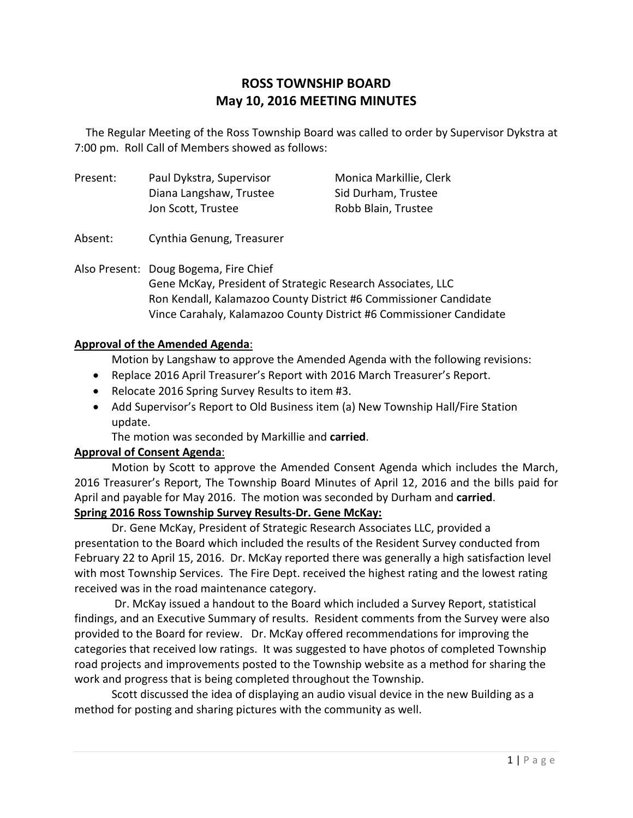# **ROSS TOWNSHIP BOARD May 10, 2016 MEETING MINUTES**

 The Regular Meeting of the Ross Township Board was called to order by Supervisor Dykstra at 7:00 pm. Roll Call of Members showed as follows:

Present: Paul Dykstra, Supervisor Monica Markillie, Clerk Diana Langshaw, Trustee Sid Durham, Trustee Jon Scott, Trustee Robb Blain, Trustee

Absent: Cynthia Genung, Treasurer

Also Present: Doug Bogema, Fire Chief Gene McKay, President of Strategic Research Associates, LLC Ron Kendall, Kalamazoo County District #6 Commissioner Candidate Vince Carahaly, Kalamazoo County District #6 Commissioner Candidate

### **Approval of the Amended Agenda**:

Motion by Langshaw to approve the Amended Agenda with the following revisions:

- Replace 2016 April Treasurer's Report with 2016 March Treasurer's Report.
- Relocate 2016 Spring Survey Results to item #3.
- Add Supervisor's Report to Old Business item (a) New Township Hall/Fire Station update.

The motion was seconded by Markillie and **carried**.

## **Approval of Consent Agenda**:

Motion by Scott to approve the Amended Consent Agenda which includes the March, 2016 Treasurer's Report, The Township Board Minutes of April 12, 2016 and the bills paid for April and payable for May 2016. The motion was seconded by Durham and **carried**. **Spring 2016 Ross Township Survey Results-Dr. Gene McKay:**

Dr. Gene McKay, President of Strategic Research Associates LLC, provided a presentation to the Board which included the results of the Resident Survey conducted from February 22 to April 15, 2016. Dr. McKay reported there was generally a high satisfaction level with most Township Services. The Fire Dept. received the highest rating and the lowest rating

received was in the road maintenance category.

 Dr. McKay issued a handout to the Board which included a Survey Report, statistical findings, and an Executive Summary of results. Resident comments from the Survey were also provided to the Board for review. Dr. McKay offered recommendations for improving the categories that received low ratings. It was suggested to have photos of completed Township road projects and improvements posted to the Township website as a method for sharing the work and progress that is being completed throughout the Township.

Scott discussed the idea of displaying an audio visual device in the new Building as a method for posting and sharing pictures with the community as well.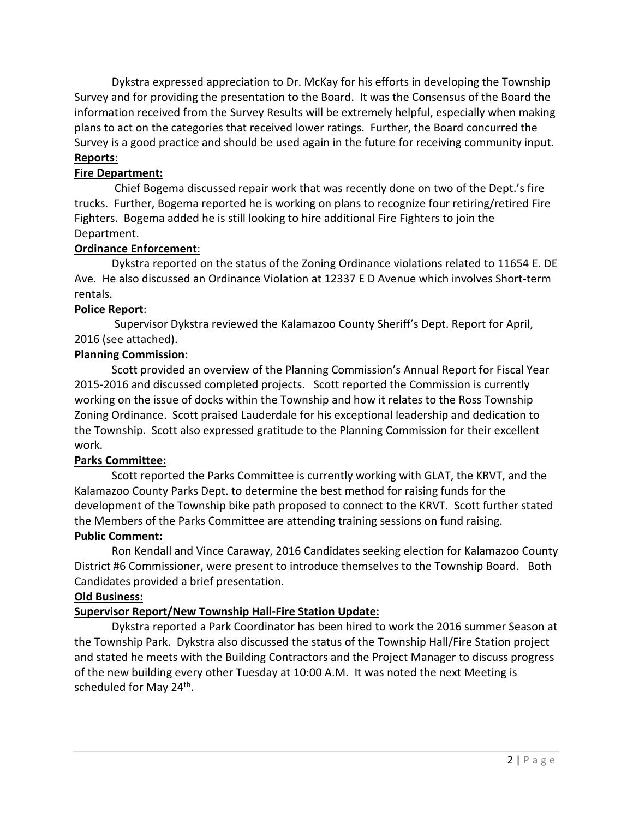Dykstra expressed appreciation to Dr. McKay for his efforts in developing the Township Survey and for providing the presentation to the Board. It was the Consensus of the Board the information received from the Survey Results will be extremely helpful, especially when making plans to act on the categories that received lower ratings. Further, the Board concurred the Survey is a good practice and should be used again in the future for receiving community input. **Reports**:

## **Fire Department:**

 Chief Bogema discussed repair work that was recently done on two of the Dept.'s fire trucks. Further, Bogema reported he is working on plans to recognize four retiring/retired Fire Fighters. Bogema added he is still looking to hire additional Fire Fighters to join the Department.

### **Ordinance Enforcement**:

 Dykstra reported on the status of the Zoning Ordinance violations related to 11654 E. DE Ave. He also discussed an Ordinance Violation at 12337 E D Avenue which involves Short-term rentals.

#### **Police Report**:

Supervisor Dykstra reviewed the Kalamazoo County Sheriff's Dept. Report for April, 2016 (see attached).

## **Planning Commission:**

Scott provided an overview of the Planning Commission's Annual Report for Fiscal Year 2015-2016 and discussed completed projects. Scott reported the Commission is currently working on the issue of docks within the Township and how it relates to the Ross Township Zoning Ordinance. Scott praised Lauderdale for his exceptional leadership and dedication to the Township. Scott also expressed gratitude to the Planning Commission for their excellent work.

#### **Parks Committee:**

Scott reported the Parks Committee is currently working with GLAT, the KRVT, and the Kalamazoo County Parks Dept. to determine the best method for raising funds for the development of the Township bike path proposed to connect to the KRVT. Scott further stated the Members of the Parks Committee are attending training sessions on fund raising.

#### **Public Comment:**

Ron Kendall and Vince Caraway, 2016 Candidates seeking election for Kalamazoo County District #6 Commissioner, were present to introduce themselves to the Township Board. Both Candidates provided a brief presentation.

#### **Old Business:**

## **Supervisor Report/New Township Hall-Fire Station Update:**

Dykstra reported a Park Coordinator has been hired to work the 2016 summer Season at the Township Park. Dykstra also discussed the status of the Township Hall/Fire Station project and stated he meets with the Building Contractors and the Project Manager to discuss progress of the new building every other Tuesday at 10:00 A.M. It was noted the next Meeting is scheduled for May 24<sup>th</sup>.